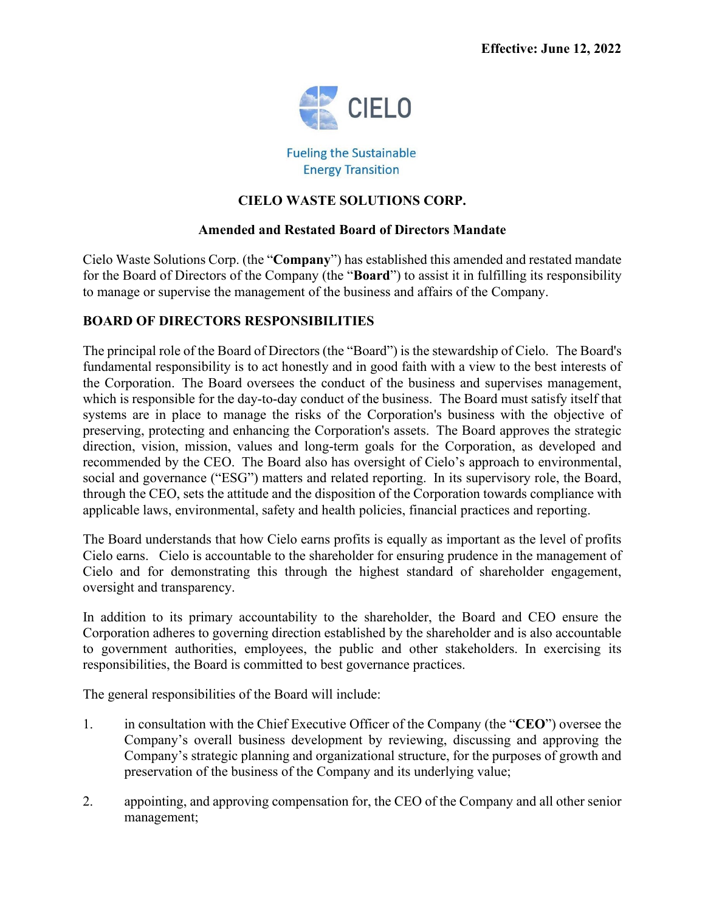

**Fueling the Sustainable Energy Transition** 

# **CIELO WASTE SOLUTIONS CORP.**

## **Amended and Restated Board of Directors Mandate**

Cielo Waste Solutions Corp. (the "**Company**") has established this amended and restated mandate for the Board of Directors of the Company (the "**Board**") to assist it in fulfilling its responsibility to manage or supervise the management of the business and affairs of the Company.

# **BOARD OF DIRECTORS RESPONSIBILITIES**

The principal role of the Board of Directors (the "Board") is the stewardship of Cielo. The Board's fundamental responsibility is to act honestly and in good faith with a view to the best interests of the Corporation. The Board oversees the conduct of the business and supervises management, which is responsible for the day-to-day conduct of the business. The Board must satisfy itself that systems are in place to manage the risks of the Corporation's business with the objective of preserving, protecting and enhancing the Corporation's assets. The Board approves the strategic direction, vision, mission, values and long-term goals for the Corporation, as developed and recommended by the CEO. The Board also has oversight of Cielo's approach to environmental, social and governance ("ESG") matters and related reporting. In its supervisory role, the Board, through the CEO, sets the attitude and the disposition of the Corporation towards compliance with applicable laws, environmental, safety and health policies, financial practices and reporting.

The Board understands that how Cielo earns profits is equally as important as the level of profits Cielo earns. Cielo is accountable to the shareholder for ensuring prudence in the management of Cielo and for demonstrating this through the highest standard of shareholder engagement, oversight and transparency.

In addition to its primary accountability to the shareholder, the Board and CEO ensure the Corporation adheres to governing direction established by the shareholder and is also accountable to government authorities, employees, the public and other stakeholders. In exercising its responsibilities, the Board is committed to best governance practices.

The general responsibilities of the Board will include:

- 1. in consultation with the Chief Executive Officer of the Company (the "**CEO**") oversee the Company's overall business development by reviewing, discussing and approving the Company's strategic planning and organizational structure, for the purposes of growth and preservation of the business of the Company and its underlying value;
- 2. appointing, and approving compensation for, the CEO of the Company and all other senior management;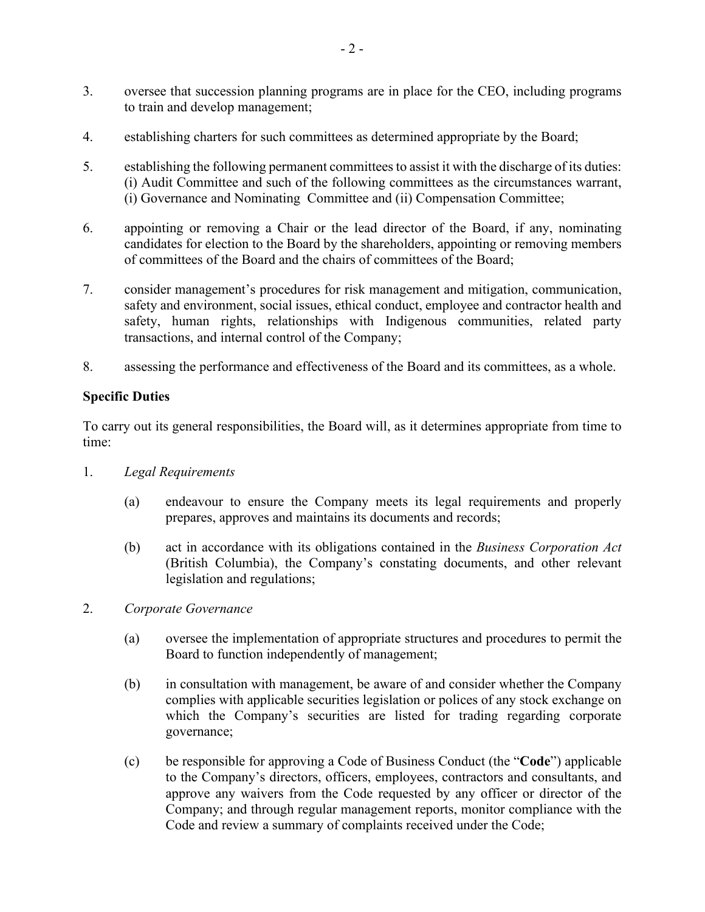- 3. oversee that succession planning programs are in place for the CEO, including programs to train and develop management;
- 4. establishing charters for such committees as determined appropriate by the Board;
- 5. establishing the following permanent committees to assist it with the discharge of its duties: (i) Audit Committee and such of the following committees as the circumstances warrant, (i) Governance and Nominating Committee and (ii) Compensation Committee;
- 6. appointing or removing a Chair or the lead director of the Board, if any, nominating candidates for election to the Board by the shareholders, appointing or removing members of committees of the Board and the chairs of committees of the Board;
- 7. consider management's procedures for risk management and mitigation, communication, safety and environment, social issues, ethical conduct, employee and contractor health and safety, human rights, relationships with Indigenous communities, related party transactions, and internal control of the Company;
- 8. assessing the performance and effectiveness of the Board and its committees, as a whole.

### **Specific Duties**

To carry out its general responsibilities, the Board will, as it determines appropriate from time to time:

- 1. *Legal Requirements*
	- (a) endeavour to ensure the Company meets its legal requirements and properly prepares, approves and maintains its documents and records;
	- (b) act in accordance with its obligations contained in the *Business Corporation Act*  (British Columbia), the Company's constating documents, and other relevant legislation and regulations;
- 2. *Corporate Governance*
	- (a) oversee the implementation of appropriate structures and procedures to permit the Board to function independently of management;
	- (b) in consultation with management, be aware of and consider whether the Company complies with applicable securities legislation or polices of any stock exchange on which the Company's securities are listed for trading regarding corporate governance;
	- (c) be responsible for approving a Code of Business Conduct (the "**Code**") applicable to the Company's directors, officers, employees, contractors and consultants, and approve any waivers from the Code requested by any officer or director of the Company; and through regular management reports, monitor compliance with the Code and review a summary of complaints received under the Code;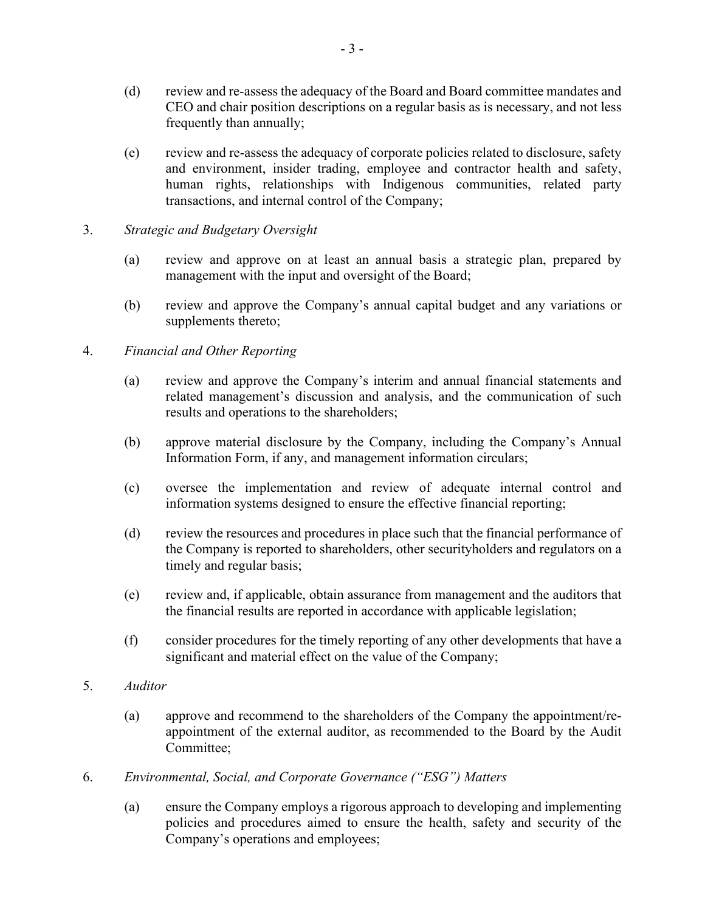- (d) review and re-assess the adequacy of the Board and Board committee mandates and CEO and chair position descriptions on a regular basis as is necessary, and not less frequently than annually;
- (e) review and re-assess the adequacy of corporate policies related to disclosure, safety and environment, insider trading, employee and contractor health and safety, human rights, relationships with Indigenous communities, related party transactions, and internal control of the Company;
- 3. *Strategic and Budgetary Oversight*
	- (a) review and approve on at least an annual basis a strategic plan, prepared by management with the input and oversight of the Board;
	- (b) review and approve the Company's annual capital budget and any variations or supplements thereto;

### 4. *Financial and Other Reporting*

- (a) review and approve the Company's interim and annual financial statements and related management's discussion and analysis, and the communication of such results and operations to the shareholders;
- (b) approve material disclosure by the Company, including the Company's Annual Information Form, if any, and management information circulars;
- (c) oversee the implementation and review of adequate internal control and information systems designed to ensure the effective financial reporting;
- (d) review the resources and procedures in place such that the financial performance of the Company is reported to shareholders, other securityholders and regulators on a timely and regular basis;
- (e) review and, if applicable, obtain assurance from management and the auditors that the financial results are reported in accordance with applicable legislation;
- (f) consider procedures for the timely reporting of any other developments that have a significant and material effect on the value of the Company;
- 5. *Auditor*
	- (a) approve and recommend to the shareholders of the Company the appointment/reappointment of the external auditor, as recommended to the Board by the Audit Committee;
- 6. *Environmental, Social, and Corporate Governance ("ESG") Matters*
	- (a) ensure the Company employs a rigorous approach to developing and implementing policies and procedures aimed to ensure the health, safety and security of the Company's operations and employees;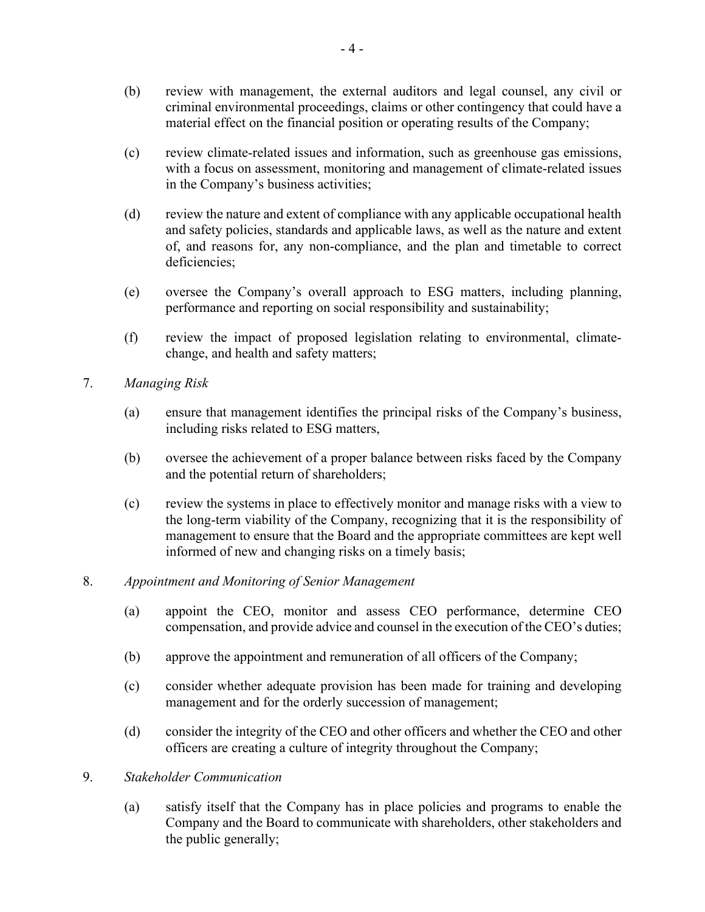- (b) review with management, the external auditors and legal counsel, any civil or criminal environmental proceedings, claims or other contingency that could have a material effect on the financial position or operating results of the Company;
- (c) review climate-related issues and information, such as greenhouse gas emissions, with a focus on assessment, monitoring and management of climate-related issues in the Company's business activities;
- (d) review the nature and extent of compliance with any applicable occupational health and safety policies, standards and applicable laws, as well as the nature and extent of, and reasons for, any non-compliance, and the plan and timetable to correct deficiencies:
- (e) oversee the Company's overall approach to ESG matters, including planning, performance and reporting on social responsibility and sustainability;
- (f) review the impact of proposed legislation relating to environmental, climatechange, and health and safety matters;
- 7. *Managing Risk*
	- (a) ensure that management identifies the principal risks of the Company's business, including risks related to ESG matters,
	- (b) oversee the achievement of a proper balance between risks faced by the Company and the potential return of shareholders;
	- (c) review the systems in place to effectively monitor and manage risks with a view to the long-term viability of the Company, recognizing that it is the responsibility of management to ensure that the Board and the appropriate committees are kept well informed of new and changing risks on a timely basis;
- 8. *Appointment and Monitoring of Senior Management*
	- (a) appoint the CEO, monitor and assess CEO performance, determine CEO compensation, and provide advice and counsel in the execution of the CEO's duties;
	- (b) approve the appointment and remuneration of all officers of the Company;
	- (c) consider whether adequate provision has been made for training and developing management and for the orderly succession of management;
	- (d) consider the integrity of the CEO and other officers and whether the CEO and other officers are creating a culture of integrity throughout the Company;
- 9. *Stakeholder Communication*
	- (a) satisfy itself that the Company has in place policies and programs to enable the Company and the Board to communicate with shareholders, other stakeholders and the public generally;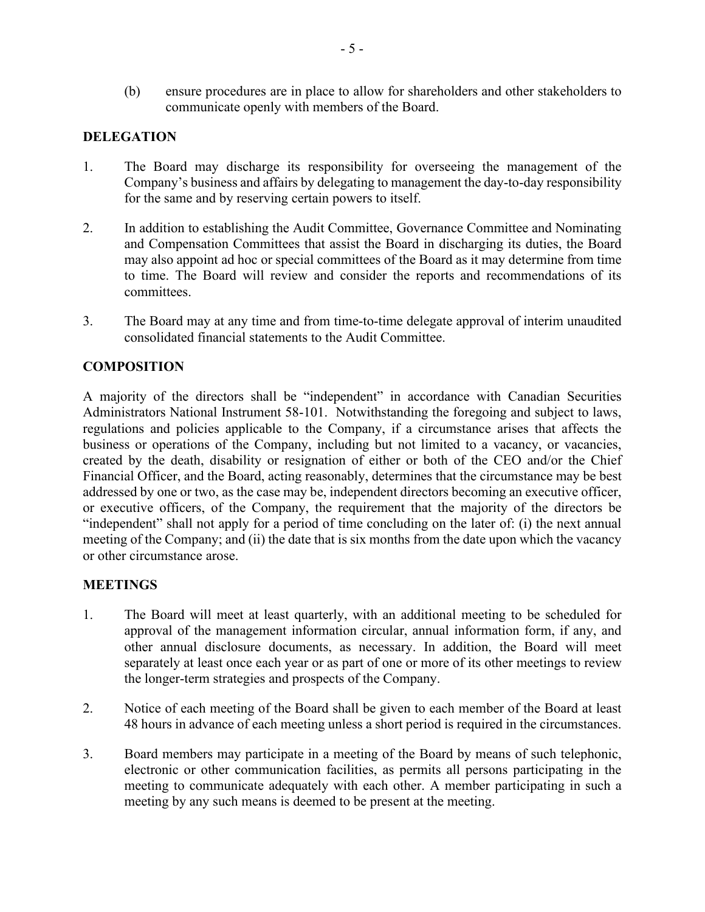(b) ensure procedures are in place to allow for shareholders and other stakeholders to communicate openly with members of the Board.

## **DELEGATION**

- 1. The Board may discharge its responsibility for overseeing the management of the Company's business and affairs by delegating to management the day-to-day responsibility for the same and by reserving certain powers to itself.
- 2. In addition to establishing the Audit Committee, Governance Committee and Nominating and Compensation Committees that assist the Board in discharging its duties, the Board may also appoint ad hoc or special committees of the Board as it may determine from time to time. The Board will review and consider the reports and recommendations of its committees.
- 3. The Board may at any time and from time-to-time delegate approval of interim unaudited consolidated financial statements to the Audit Committee.

## **COMPOSITION**

A majority of the directors shall be "independent" in accordance with Canadian Securities Administrators National Instrument 58-101. Notwithstanding the foregoing and subject to laws, regulations and policies applicable to the Company, if a circumstance arises that affects the business or operations of the Company, including but not limited to a vacancy, or vacancies, created by the death, disability or resignation of either or both of the CEO and/or the Chief Financial Officer, and the Board, acting reasonably, determines that the circumstance may be best addressed by one or two, as the case may be, independent directors becoming an executive officer, or executive officers, of the Company, the requirement that the majority of the directors be "independent" shall not apply for a period of time concluding on the later of: (i) the next annual meeting of the Company; and (ii) the date that is six months from the date upon which the vacancy or other circumstance arose.

### **MEETINGS**

- 1. The Board will meet at least quarterly, with an additional meeting to be scheduled for approval of the management information circular, annual information form, if any, and other annual disclosure documents, as necessary. In addition, the Board will meet separately at least once each year or as part of one or more of its other meetings to review the longer-term strategies and prospects of the Company.
- 2. Notice of each meeting of the Board shall be given to each member of the Board at least 48 hours in advance of each meeting unless a short period is required in the circumstances.
- 3. Board members may participate in a meeting of the Board by means of such telephonic, electronic or other communication facilities, as permits all persons participating in the meeting to communicate adequately with each other. A member participating in such a meeting by any such means is deemed to be present at the meeting.